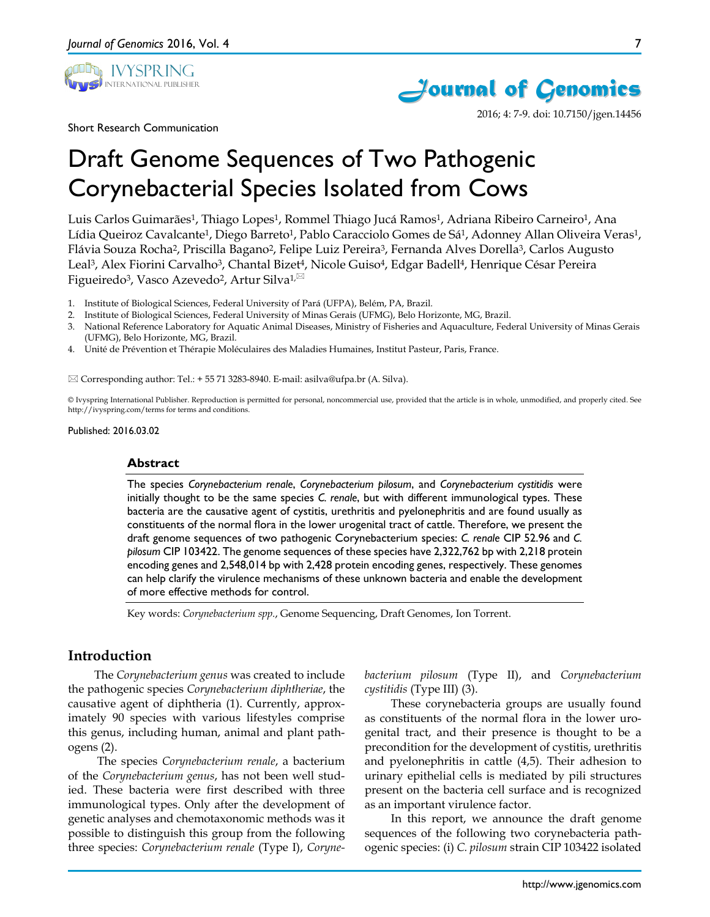



2016; 4: 7-9. doi: 10.7150/jgen.14456

Short Research Communication

# Draft Genome Sequences of Two Pathogenic Corynebacterial Species Isolated from Cows

Luis Carlos Guimarães<sup>1</sup>, Thiago Lopes<sup>1</sup>, Rommel Thiago Jucá Ramos<sup>1</sup>, Adriana Ribeiro Carneiro<sup>1</sup>, Ana Lídia Queiroz Cavalcante<sup>1</sup>, Diego Barreto<sup>1</sup>, Pablo Caracciolo Gomes de Sá<sup>1</sup>, Adonney Allan Oliveira Veras<sup>1</sup>, Flávia Souza Rocha2, Priscilla Bagano2, Felipe Luiz Pereira3, Fernanda Alves Dorella3, Carlos Augusto Leal<sup>3</sup>, Alex Fiorini Carvalho<sup>3</sup>, Chantal Bizet<sup>4</sup>, Nicole Guiso<sup>4</sup>, Edgar Badell<sup>4</sup>, Henrique César Pereira Figueiredo<sup>3</sup>, Vasco Azevedo<sup>2</sup>, Artur Silva<sup>1,⊠</sup>

- 1. Institute of Biological Sciences, Federal University of Pará (UFPA), Belém, PA, Brazil.
- 2. Institute of Biological Sciences, Federal University of Minas Gerais (UFMG), Belo Horizonte, MG, Brazil.
- 3. National Reference Laboratory for Aquatic Animal Diseases, Ministry of Fisheries and Aquaculture, Federal University of Minas Gerais (UFMG), Belo Horizonte, MG, Brazil.
- 4. Unité de Prévention et Thérapie Moléculaires des Maladies Humaines, Institut Pasteur, Paris, France.

 $\boxtimes$  Corresponding author: Tel.: + 55 71 3283-8940. E-mail: asilva@ufpa.br (A. Silva).

© Ivyspring International Publisher. Reproduction is permitted for personal, noncommercial use, provided that the article is in whole, unmodified, and properly cited. See http://ivyspring.com/terms for terms and conditions.

Published: 2016.03.02

#### **Abstract**

The species *Corynebacterium renale*, *Corynebacterium pilosum*, and *Corynebacterium cystitidis* were initially thought to be the same species *C. renale*, but with different immunological types. These bacteria are the causative agent of cystitis, urethritis and pyelonephritis and are found usually as constituents of the normal flora in the lower urogenital tract of cattle. Therefore, we present the draft genome sequences of two pathogenic Corynebacterium species: *C. renale* CIP 52.96 and *C. pilosum* CIP 103422. The genome sequences of these species have 2,322,762 bp with 2,218 protein encoding genes and 2,548,014 bp with 2,428 protein encoding genes, respectively. These genomes can help clarify the virulence mechanisms of these unknown bacteria and enable the development of more effective methods for control.

Key words: *Corynebacterium spp.*, Genome Sequencing, Draft Genomes, Ion Torrent.

# **Introduction**

The *Corynebacterium genus* was created to include the pathogenic species *Corynebacterium diphtheriae*, the causative agent of diphtheria (1). Currently, approximately 90 species with various lifestyles comprise this genus, including human, animal and plant pathogens (2).

The species *Corynebacterium renale*, a bacterium of the *Corynebacterium genus*, has not been well studied. These bacteria were first described with three immunological types. Only after the development of genetic analyses and chemotaxonomic methods was it possible to distinguish this group from the following three species: *Corynebacterium renale* (Type I), *Coryne-* *bacterium pilosum* (Type II), and *Corynebacterium cystitidis* (Type III) (3).

These corynebacteria groups are usually found as constituents of the normal flora in the lower urogenital tract, and their presence is thought to be a precondition for the development of cystitis, urethritis and pyelonephritis in cattle (4,5). Their adhesion to urinary epithelial cells is mediated by pili structures present on the bacteria cell surface and is recognized as an important virulence factor.

In this report, we announce the draft genome sequences of the following two corynebacteria pathogenic species: (i) *C. pilosum* strain CIP 103422 isolated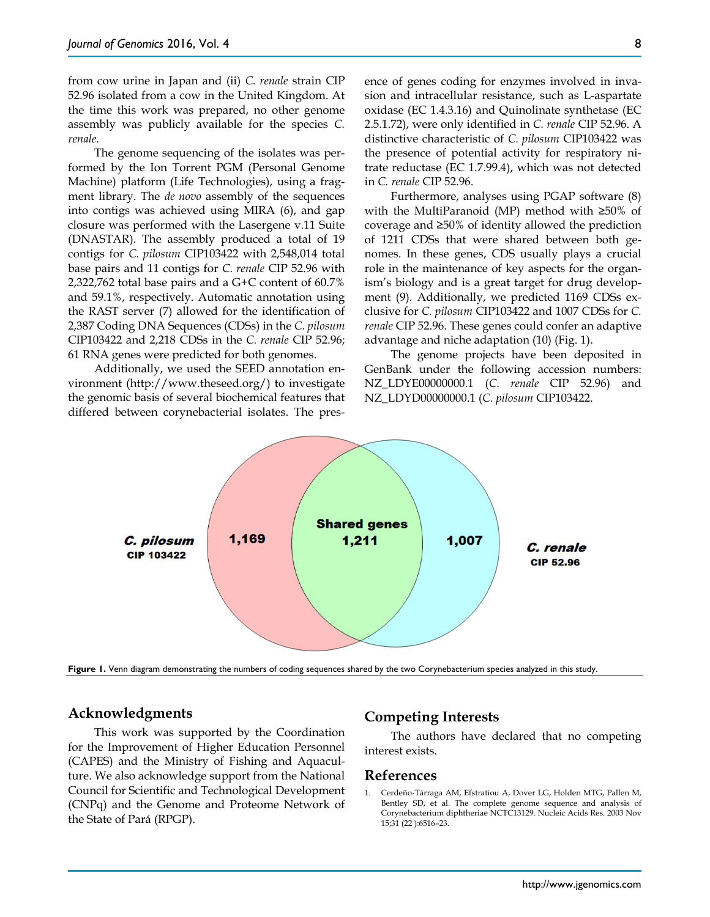from cow urine in Japan and (ii) *C. renale* strain CIP 52.96 isolated from a cow in the United Kingdom. At the time this work was prepared, no other genome assembly was publicly available for the species *C. renale*.

The genome sequencing of the isolates was performed by the Ion Torrent PGM (Personal Genome Machine) platform (Life Technologies), using a fragment library. The *de novo* assembly of the sequences into contigs was achieved using MIRA (6), and gap closure was performed with the Lasergene v.11 Suite (DNASTAR). The assembly produced a total of 19 contigs for *C. pilosum* CIP103422 with 2,548,014 total base pairs and 11 contigs for *C. renale* CIP 52.96 with 2,322,762 total base pairs and a G+C content of 60.7% and 59.1%, respectively. Automatic annotation using the RAST server (7) allowed for the identification of 2,387 Coding DNA Sequences (CDSs) in the *C. pilosum* CIP103422 and 2,218 CDSs in the *C. renale* CIP 52.96; 61 RNA genes were predicted for both genomes.

Additionally, we used the SEED annotation environment (http://www.theseed.org/) to investigate the genomic basis of several biochemical features that differed between corynebacterial isolates. The presence of genes coding for enzymes involved in invasion and intracellular resistance, such as L-aspartate oxidase (EC 1.4.3.16) and Quinolinate synthetase (EC 2.5.1.72), were only identified in *C. renale* CIP 52.96. A distinctive characteristic of *C. pilosum* CIP103422 was the presence of potential activity for respiratory nitrate reductase (EC 1.7.99.4), which was not detected in *C. renale* CIP 52.96.

Furthermore, analyses using PGAP software (8) with the MultiParanoid (MP) method with ≥50% of coverage and ≥50% of identity allowed the prediction of 1211 CDSs that were shared between both genomes. In these genes, CDS usually plays a crucial role in the maintenance of key aspects for the organism's biology and is a great target for drug development (9). Additionally, we predicted 1169 CDSs exclusive for *C. pilosum* CIP103422 and 1007 CDSs for *C. renale* CIP 52.96. These genes could confer an adaptive advantage and niche adaptation (10) (Fig. 1).

The genome projects have been deposited in GenBank under the following accession numbers: NZ\_LDYE00000000.1 (*C. renale* CIP 52.96) and NZ\_LDYD00000000.1 (*C. pilosum* CIP103422.



**Figure 1.** Venn diagram demonstrating the numbers of coding sequences shared by the two Corynebacterium species analyzed in this study.

## **Acknowledgments**

This work was supported by the Coordination for the Improvement of Higher Education Personnel (CAPES) and the Ministry of Fishing and Aquaculture. We also acknowledge support from the National Council for Scientific and Technological Development (CNPq) and the Genome and Proteome Network of the State of Pará (RPGP).

## **Competing Interests**

The authors have declared that no competing interest exists.

#### **References**

1. Cerdeño‐Tárraga AM, Efstratiou A, Dover LG, Holden MTG, Pallen M, Bentley SD, et al. The complete genome sequence and analysis of Corynebacterium diphtheriae NCTC13129. Nucleic Acids Res. 2003 Nov 15;31 (22 ):6516–23.